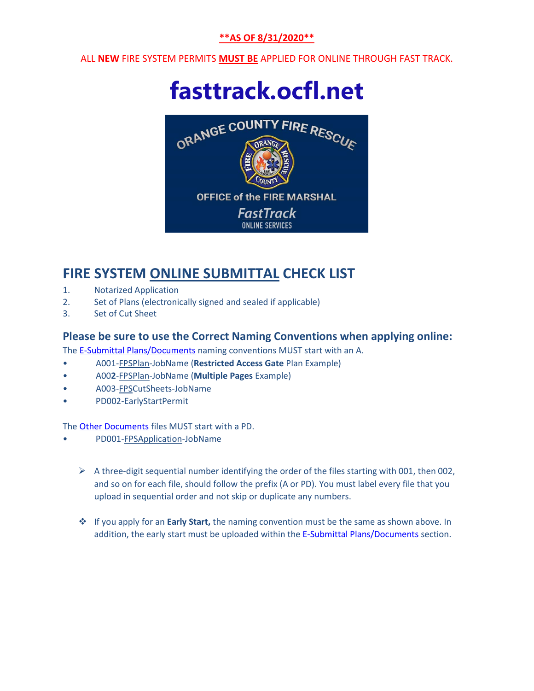#### **\*\*AS OF 8/31/2020\*\***

ALL **NEW** FIRE SYSTEM PERMITS **MUST BE** APPLIED FOR ONLINE THROUGH FAST TRACK.

# **[fasttrack.ocfl.net](https://fasttrack.ocfl.net/)**



### **FIRE SYSTEM ONLINE SUBMITTAL CHECK LIST**

- 1. Notarized Application
- 2. Set of Plans (electronically signed and sealed if applicable)
- 3. Set of Cut Sheet

#### **Please be sure to use the Correct Naming Conventions when applying online:**

The E-Submittal Plans/Documents naming conventions MUST start with an A.

- A001-FPSPlan-JobName (**Restricted Access Gate** Plan Example)
- A00**2**-FPSPlan-JobName (**Multiple Pages** Example)
- A003-FPSCutSheets-JobName
- PD002-EarlyStartPermit

The Other Documents files MUST start with a PD.

- PD001-FPSApplication-JobName
	- $\triangleright$  A three-digit sequential number identifying the order of the files starting with 001, then 002, and so on for each file, should follow the prefix (A or PD). You must label every file that you upload in sequential order and not skip or duplicate any numbers.
	- If you apply for an **Early Start,** the naming convention must be the same as shown above. In addition, the early start must be uploaded within the E-Submittal Plans/Documents section.